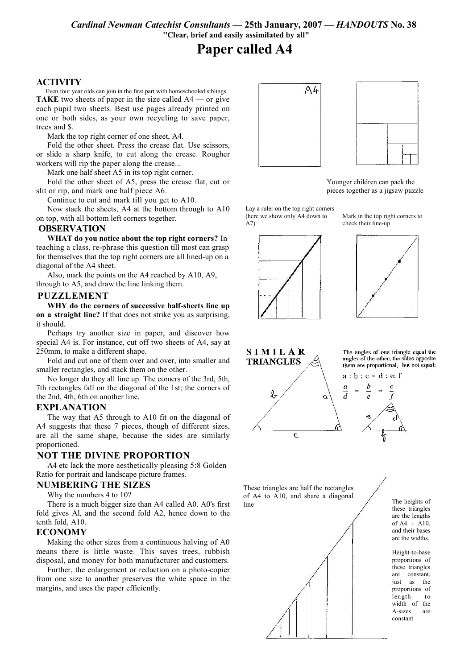Cardinal Newman Catechist Consultants - 25th January, 2007 - HANDOUTS No. 38 "Clear, brief and easily assimilated by all"

# **Paper called A4**

## **ACTIVITY**

Even four year olds can join in the first part with homeschooled siblings. **TAKE** two sheets of paper in the size called  $A4$  — or give each pupil two sheets. Best use pages already printed on one or both sides, as your own recycling to save paper, trees and \$.

Mark the top right corner of one sheet. A4.

Fold the other sheet. Press the crease flat. Use scissors. or slide a sharp knife, to cut along the crease. Rougher workers will rip the paper along the crease...

Mark one half sheet A5 in its top right corner.

Fold the other sheet of A5, press the crease flat, cut or slit or rip, and mark one half piece A6.

Continue to cut and mark till you get to A10.

Now stack the sheets, A4 at the bottom through to A10 on top, with all bottom left corners together.

#### **OBSERVATION**

WHAT do you notice about the top right corners? In teaching a class, re-phrase this question till most can grasp for themselves that the top right corners are all lined-up on a diagonal of the A4 sheet.

Also, mark the points on the A4 reached by A10, A9, through to A5, and draw the line linking them.

#### **PUZZLEMENT**

WHY do the corners of successive half-sheets line up on a straight line? If that does not strike you as surprising, it should

Perhaps try another size in paper, and discover how special A4 is. For instance, cut off two sheets of A4, say at 250mm, to make a different shape.

Fold and cut one of them over and over, into smaller and smaller rectangles, and stack them on the other.

No longer do they all line up. The comers of the 3rd, 5th, 7th rectangles fall on the diagonal of the 1st; the corners of the 2nd. 4th, 6th on another line.

#### **EXPLANATION**

The way that A5 through to A10 fit on the diagonal of A4 suggests that these 7 pieces, though of different sizes, are all the same shape, because the sides are similarly proportioned.

## **NOT THE DIVINE PROPORTION**

A4 etc lack the more aesthetically pleasing 5:8 Golden Ratio for portrait and landscape picture frames.

### **NUMBERING THE SIZES**

Why the numbers 4 to 10?

There is a much bigger size than A4 called A0. A0's first fold gives Al, and the second fold A2, hence down to the tenth fold, A10.

#### **ECONOMY**

Making the other sizes from a continuous halving of A0 means there is little waste. This saves trees, rubbish disposal, and money for both manufacturer and customers.

Further, the enlargement or reduction on a photo-copier from one size to another preserves the white space in the margins, and uses the paper efficiently.



Younger children can pack the pieces together as a jigsaw puzzle

Lay a ruler on the top right corners (here we show only A4 down to  $A7$ 



Mark in the top right corners to check their line-up





These triangles are half the rectangles of A4 to A10, and share a diagonal line



The heights of these triangles are the lengths of A4 - A10, and their bases are the widths

Height-to-base proportions of these triangles are constant, iust as the proportions of length  $t_{0}$ width of the A-sizes are constant